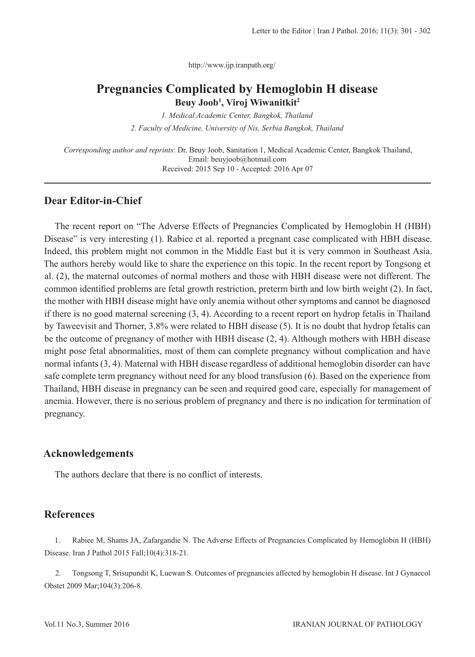http://www.ijp.iranpath.org/

# **Pregnancies Complicated by Hemoglobin H disease Beuy Joob1 , Viroj Wiwanitkit2**

*1. Medical Academic Center, Bangkok, Thailand 2. Faculty of Medicine, University of Nis, Serbia Bangkok, Thailand*

*Corresponding author and reprints*: Dr. Beuy Joob, Sanitation 1, Medical Academic Center, Bangkok Thailand, Email: beuyjoob@hotmail.com Received: 2015 Sep 10 - Accepted: 2016 Apr 07

## **Dear Editor-in-Chief**

The recent report on "The Adverse Effects of Pregnancies Complicated by Hemoglobin H (HBH) Disease" is very interesting (1). Rabiee et al. reported a pregnant case complicated with HBH disease. Indeed, this problem might not common in the Middle East but it is very common in Southeast Asia. The authors hereby would like to share the experience on this topic. In the recent report by Tongsong et al. (2), the maternal outcomes of normal mothers and those with HBH disease were not different. The common identified problems are fetal growth restriction, preterm birth and low birth weight (2). In fact, the mother with HBH disease might have only anemia without other symptoms and cannot be diagnosed if there is no good maternal screening (3, 4). According to a recent report on hydrop fetalis in Thailand by Taweevisit and Thorner, 3.8% were related to HBH disease (5). It is no doubt that hydrop fetalis can be the outcome of pregnancy of mother with HBH disease (2, 4). Although mothers with HBH disease might pose fetal abnormalities, most of them can complete pregnancy without complication and have normal infants (3, 4). Maternal with HBH disease regardless of additional hemoglobin disorder can have safe complete term pregnancy without need for any blood transfusion (6). Based on the experience from Thailand, HBH disease in pregnancy can be seen and required good care, especially for management of anemia. However, there is no serious problem of pregnancy and there is no indication for termination of pregnancy.

## **Acknowledgements**

The authors declare that there is no conflict of interests.

### **References**

1. Rabiee M, Shams JA, Zafargandie N. The Adverse Effects of Pregnancies Complicated by Hemoglobin H (HBH) Disease. Iran J Pathol 2015 Fall;10(4):318-21.

2. Tongsong T, Srisupundit K, Luewan S. Outcomes of pregnancies affected by hemoglobin H disease. Int J Gynaecol Obstet 2009 Mar;104(3):206-8.